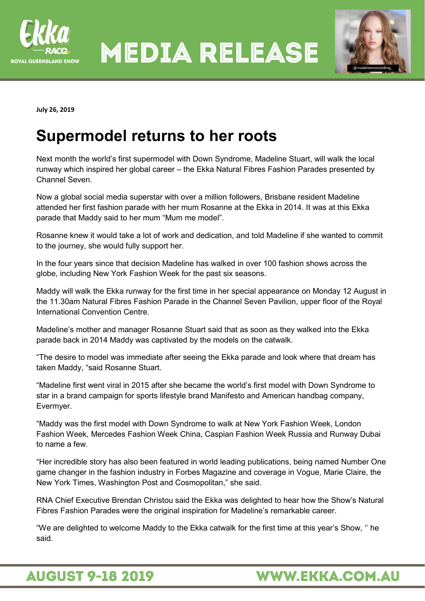

**MEDIA RELEASE** 



**July 26, 2019** 

## **Supermodel returns to her roots**

Next month the world's first supermodel with Down Syndrome, Madeline Stuart, will walk the local runway which inspired her global career – the Ekka Natural Fibres Fashion Parades presented by Channel Seven.

Now a global social media superstar with over a million followers, Brisbane resident Madeline attended her first fashion parade with her mum Rosanne at the Ekka in 2014. It was at this Ekka parade that Maddy said to her mum "Mum me model".

Rosanne knew it would take a lot of work and dedication, and told Madeline if she wanted to commit to the journey, she would fully support her.

In the four years since that decision Madeline has walked in over 100 fashion shows across the globe, including New York Fashion Week for the past six seasons.

Maddy will walk the Ekka runway for the first time in her special appearance on Monday 12 August in the 11.30am Natural Fibres Fashion Parade in the Channel Seven Pavilion, upper floor of the Royal International Convention Centre.

Madeline's mother and manager Rosanne Stuart said that as soon as they walked into the Ekka parade back in 2014 Maddy was captivated by the models on the catwalk.

"The desire to model was immediate after seeing the Ekka parade and look where that dream has taken Maddy, "said Rosanne Stuart.

"Madeline first went viral in 2015 after she became the world's first model with Down Syndrome to star in a brand campaign for sports lifestyle brand Manifesto and American handbag company, Evermyer.

"Maddy was the first model with Down Syndrome to walk at New York Fashion Week, London Fashion Week, Mercedes Fashion Week China, Caspian Fashion Week Russia and Runway Dubai to name a few.

"Her incredible story has also been featured in world leading publications, being named Number One game changer in the fashion industry in Forbes Magazine and coverage in Vogue, Marie Claire, the New York Times, Washington Post and Cosmopolitan," she said.

RNA Chief Executive Brendan Christou said the Ekka was delighted to hear how the Show's Natural Fibres Fashion Parades were the original inspiration for Madeline's remarkable career.

"We are delighted to welcome Maddy to the Ekka catwalk for the first time at this year's Show, '' he said.

## **AUGUST 9-18 2019**

## WWW.EKKA.COM.AU